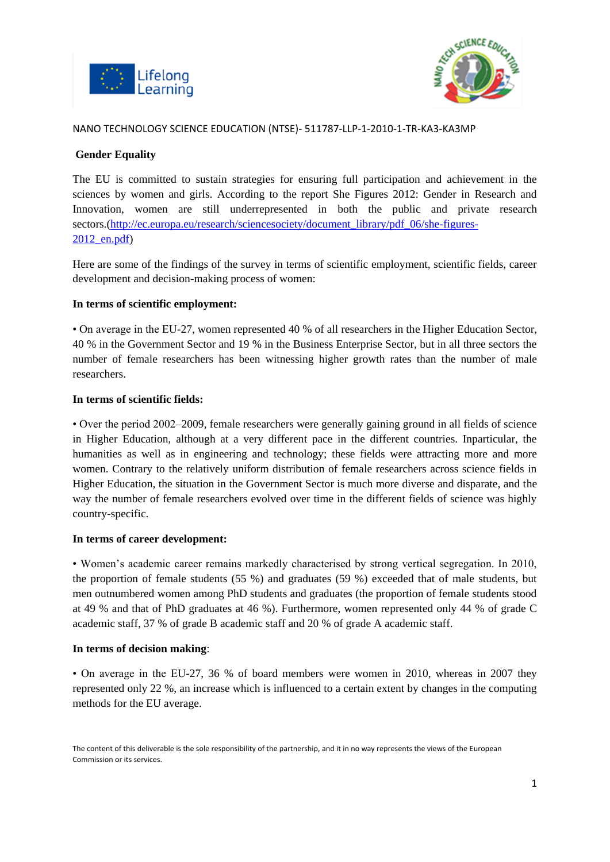



# **Gender Equality**

The EU is committed to sustain strategies for ensuring full participation and achievement in the sciences by women and girls. According to the report She Figures 2012: Gender in Research and Innovation, women are still underrepresented in both the public and private research sectors.[\(http://ec.europa.eu/research/sciencesociety/document\\_library/pdf\\_06/she-figures-](http://ec.europa.eu/research/sciencesociety/document_library/pdf_06/she-figures-2012_en.pdf)[2012\\_en.pdf\)](http://ec.europa.eu/research/sciencesociety/document_library/pdf_06/she-figures-2012_en.pdf)

Here are some of the findings of the survey in terms of scientific employment, scientific fields, career development and decision-making process of women:

## **In terms of scientific employment:**

• On average in the EU-27, women represented 40 % of all researchers in the Higher Education Sector, 40 % in the Government Sector and 19 % in the Business Enterprise Sector, but in all three sectors the number of female researchers has been witnessing higher growth rates than the number of male researchers.

#### **In terms of scientific fields:**

• Over the period 2002–2009, female researchers were generally gaining ground in all fields of science in Higher Education, although at a very different pace in the different countries. Inparticular, the humanities as well as in engineering and technology; these fields were attracting more and more women. Contrary to the relatively uniform distribution of female researchers across science fields in Higher Education, the situation in the Government Sector is much more diverse and disparate, and the way the number of female researchers evolved over time in the different fields of science was highly country-specific.

#### **In terms of career development:**

• Women's academic career remains markedly characterised by strong vertical segregation. In 2010, the proportion of female students (55 %) and graduates (59 %) exceeded that of male students, but men outnumbered women among PhD students and graduates (the proportion of female students stood at 49 % and that of PhD graduates at 46 %). Furthermore, women represented only 44 % of grade C academic staff, 37 % of grade B academic staff and 20 % of grade A academic staff.

#### **In terms of decision making**:

• On average in the EU-27, 36 % of board members were women in 2010, whereas in 2007 they represented only 22 %, an increase which is influenced to a certain extent by changes in the computing methods for the EU average.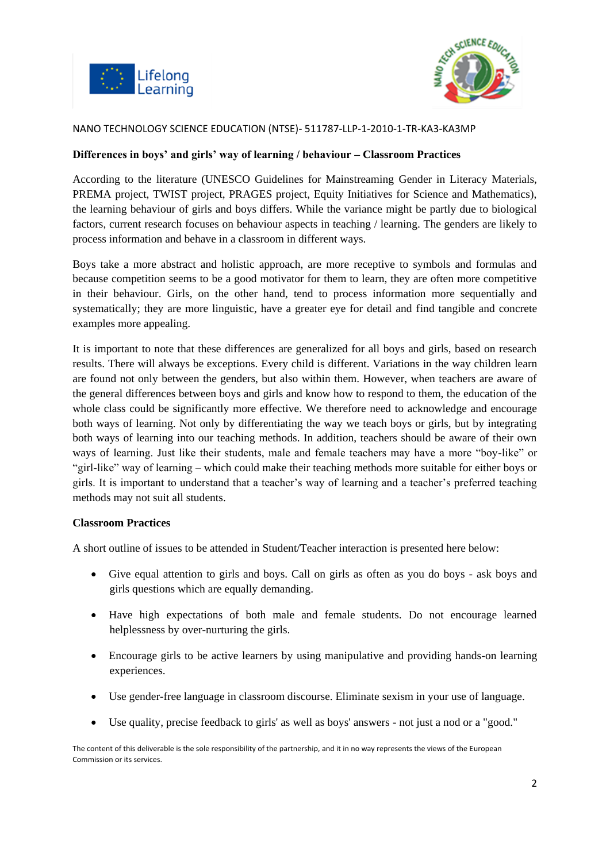



#### **Differences in boys' and girls' way of learning / behaviour – Classroom Practices**

According to the literature (UNESCO Guidelines for Mainstreaming Gender in Literacy Materials, PREMA project, TWIST project, PRAGES project, Equity Initiatives for Science and Mathematics), the learning behaviour of girls and boys differs. While the variance might be partly due to biological factors, current research focuses on behaviour aspects in teaching / learning. The genders are likely to process information and behave in a classroom in different ways.

Boys take a more abstract and holistic approach, are more receptive to symbols and formulas and because competition seems to be a good motivator for them to learn, they are often more competitive in their behaviour. Girls, on the other hand, tend to process information more sequentially and systematically; they are more linguistic, have a greater eye for detail and find tangible and concrete examples more appealing.

It is important to note that these differences are generalized for all boys and girls, based on research results. There will always be exceptions. Every child is different. Variations in the way children learn are found not only between the genders, but also within them. However, when teachers are aware of the general differences between boys and girls and know how to respond to them, the education of the whole class could be significantly more effective. We therefore need to acknowledge and encourage both ways of learning. Not only by differentiating the way we teach boys or girls, but by integrating both ways of learning into our teaching methods. In addition, teachers should be aware of their own ways of learning. Just like their students, male and female teachers may have a more "boy-like" or "girl-like" way of learning – which could make their teaching methods more suitable for either boys or girls. It is important to understand that a teacher's way of learning and a teacher's preferred teaching methods may not suit all students.

#### **Classroom Practices**

A short outline of issues to be attended in Student/Teacher interaction is presented here below:

- Give equal attention to girls and boys. Call on girls as often as you do boys ask boys and girls questions which are equally demanding.
- Have high expectations of both male and female students. Do not encourage learned helplessness by over-nurturing the girls.
- Encourage girls to be active learners by using manipulative and providing hands-on learning experiences.
- Use gender-free language in classroom discourse. Eliminate sexism in your use of language.
- Use quality, precise feedback to girls' as well as boys' answers not just a nod or a "good."

The content of this deliverable is the sole responsibility of the partnership, and it in no way represents the views of the European Commission or its services.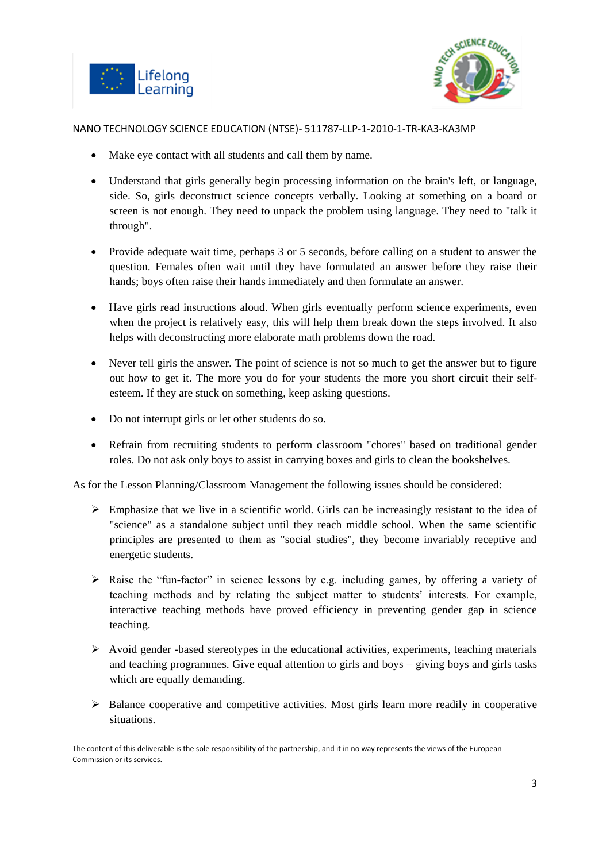



- Make eye contact with all students and call them by name.
- Understand that girls generally begin processing information on the brain's left, or language, side. So, girls deconstruct science concepts verbally. Looking at something on a board or screen is not enough. They need to unpack the problem using language. They need to "talk it through".
- Provide adequate wait time, perhaps 3 or 5 seconds, before calling on a student to answer the question. Females often wait until they have formulated an answer before they raise their hands; boys often raise their hands immediately and then formulate an answer.
- Have girls read instructions aloud. When girls eventually perform science experiments, even when the project is relatively easy, this will help them break down the steps involved. It also helps with deconstructing more elaborate math problems down the road.
- Never tell girls the answer. The point of science is not so much to get the answer but to figure out how to get it. The more you do for your students the more you short circuit their selfesteem. If they are stuck on something, keep asking questions.
- Do not interrupt girls or let other students do so.
- Refrain from recruiting students to perform classroom "chores" based on traditional gender roles. Do not ask only boys to assist in carrying boxes and girls to clean the bookshelves.

As for the Lesson Planning/Classroom Management the following issues should be considered:

- $\triangleright$  Emphasize that we live in a scientific world. Girls can be increasingly resistant to the idea of "science" as a standalone subject until they reach middle school. When the same scientific principles are presented to them as "social studies", they become invariably receptive and energetic students.
- Raise the "fun-factor" in science lessons by e.g. including games, by offering a variety of teaching methods and by relating the subject matter to students' interests. For example, interactive teaching methods have proved efficiency in preventing gender gap in science teaching.
- $\triangleright$  Avoid gender -based stereotypes in the educational activities, experiments, teaching materials and teaching programmes. Give equal attention to girls and boys – giving boys and girls tasks which are equally demanding.
- $\triangleright$  Balance cooperative and competitive activities. Most girls learn more readily in cooperative situations.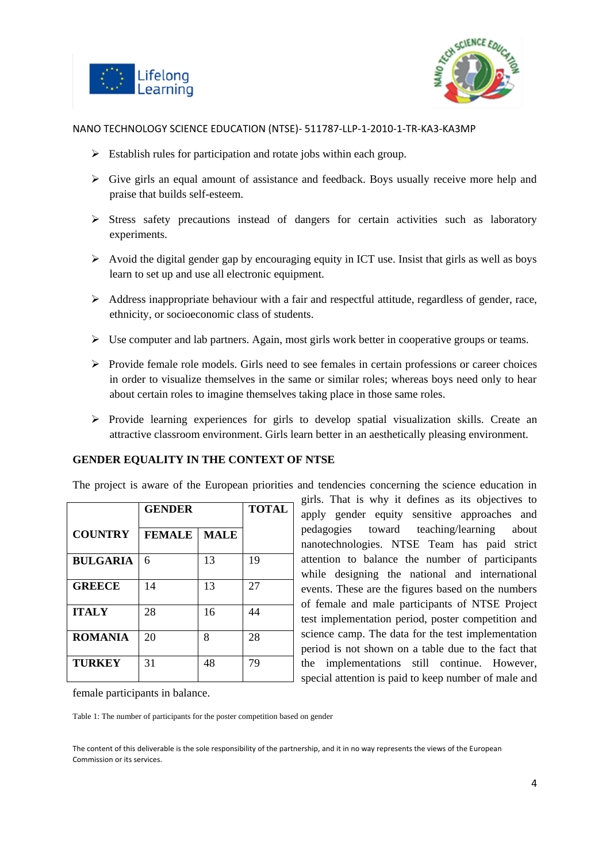



- $\triangleright$  Establish rules for participation and rotate jobs within each group.
- $\triangleright$  Give girls an equal amount of assistance and feedback. Boys usually receive more help and praise that builds self-esteem.
- $\triangleright$  Stress safety precautions instead of dangers for certain activities such as laboratory experiments.
- $\triangleright$  Avoid the digital gender gap by encouraging equity in ICT use. Insist that girls as well as boys learn to set up and use all electronic equipment.
- $\triangleright$  Address inappropriate behaviour with a fair and respectful attitude, regardless of gender, race, ethnicity, or socioeconomic class of students.
- $\triangleright$  Use computer and lab partners. Again, most girls work better in cooperative groups or teams.
- $\triangleright$  Provide female role models. Girls need to see females in certain professions or career choices in order to visualize themselves in the same or similar roles; whereas boys need only to hear about certain roles to imagine themselves taking place in those same roles.
- $\triangleright$  Provide learning experiences for girls to develop spatial visualization skills. Create an attractive classroom environment. Girls learn better in an aesthetically pleasing environment.

#### **GENDER EQUALITY IN THE CONTEXT OF NTSE**

The project is aware of the European priorities and tendencies concerning the science education in

|                 | <b>GENDER</b> |             | <b>TOTAL</b> |
|-----------------|---------------|-------------|--------------|
| <b>COUNTRY</b>  | <b>FEMALE</b> | <b>MALE</b> |              |
| <b>BULGARIA</b> | 6             | 13          | 19           |
| <b>GREECE</b>   | 14            | 13          | 27           |
| <b>ITALY</b>    | 28            | 16          | 44           |
| <b>ROMANIA</b>  | 20            | 8           | 28           |
| <b>TURKEY</b>   | 31            | 48          | 79           |

girls. That is why it defines as its objectives to apply gender equity sensitive approaches and pedagogies toward teaching/learning about nanotechnologies. NTSE Team has paid strict attention to balance the number of participants while designing the national and international events. These are the figures based on the numbers of female and male participants of NTSE Project test implementation period, poster competition and science camp. The data for the test implementation period is not shown on a table due to the fact that the implementations still continue. However, special attention is paid to keep number of male and

female participants in balance.

Table 1: The number of participants for the poster competition based on gender